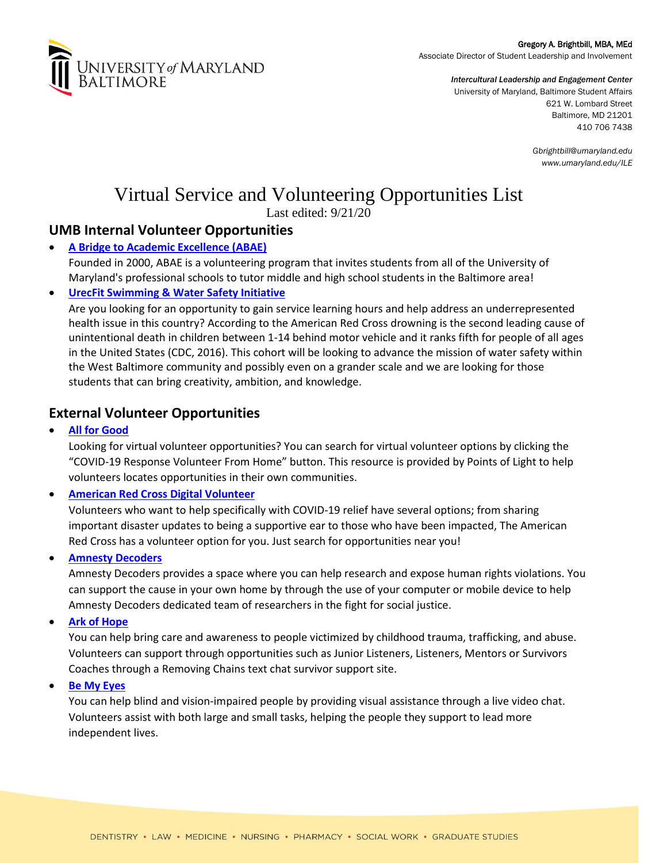

Gregory A. Brightbill, MBA, MEd Associate Director of Student Leadership and Involvement

> *Intercultural Leadership and Engagement Center* University of Maryland, Baltimore Student Affairs 621 W. Lombard Street Baltimore, MD 21201 410 706 7438

> > *Gbrightbill@umaryland.edu www.umaryland.edu/ILE*

# Virtual Service and Volunteering Opportunities List

Last edited: 9/21/20

# **UMB Internal Volunteer Opportunities**

# • **[A Bridge to Academic Excellence \(ABAE\)](https://forms.gle/JLV31NYrabfRzsJe6)**

Founded in 2000, ABAE is a volunteering program that invites students from all of the University of Maryland's professional schools to tutor middle and high school students in the Baltimore area!

## • **[UrecFit Swimming & Water Safety Initiative](https://umbforms.wufoo.com/forms/m8ho7ij19o5hem/)**

Are you looking for an opportunity to gain service learning hours and help address an underrepresented health issue in this country? According to the American Red Cross drowning is the second leading cause of unintentional death in children between 1-14 behind motor vehicle and it ranks fifth for people of all ages in the United States (CDC, 2016). This cohort will be looking to advance the mission of water safety within the West Baltimore community and possibly even on a grander scale and we are looking for those students that can bring creativity, ambition, and knowledge.

# **External Volunteer Opportunities**

• **[All for Good](https://www.allforgood.org/)**

Looking for virtual volunteer opportunities? You can search for virtual volunteer options by clicking the "COVID-19 Response Volunteer From Home" button. This resource is provided by Points of Light to help volunteers locates opportunities in their own communities.

• **[American Red Cross Digital Volunteer](https://redcrosschat.org/digitalvolunteer/)**

Volunteers who want to help specifically with COVID-19 relief have several options; from sharing important disaster updates to being a supportive ear to those who have been impacted, The American Red Cross has a volunteer option for you. Just search for opportunities near you!

• **[Amnesty Decoders](https://decoders.amnesty.org/register)**

Amnesty Decoders provides a space where you can help research and expose human rights violations. You can support the cause in your own home by through the use of your computer or mobile device to help Amnesty Decoders dedicated team of researchers in the fight for social justice.

• **[Ark of Hope](https://arkofhopeforchildren.org/support-us/volunteer)**

You can help bring care and awareness to people victimized by childhood trauma, trafficking, and abuse. Volunteers can support through opportunities such as Junior Listeners, Listeners, Mentors or Survivors Coaches through a Removing Chains text chat survivor support site.

• **[Be My Eyes](https://www.bemyeyes.com/)**

You can help blind and vision-impaired people by providing visual assistance through a live video chat. Volunteers assist with both large and small tasks, helping the people they support to lead more independent lives.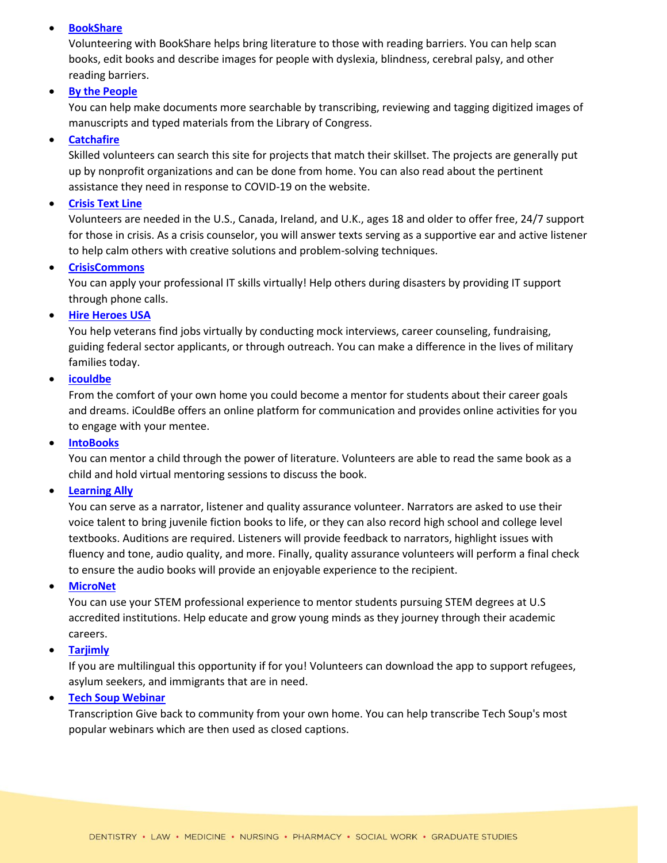#### • **[BookShare](https://www.bookshare.org/cms/get-involved/volunteer/opportunities-us)**

Volunteering with BookShare helps bring literature to those with reading barriers. You can help scan books, edit books and describe images for people with dyslexia, blindness, cerebral palsy, and other reading barriers.

#### • **[By the People](https://crowd.loc.gov/help-center/how-to-transcribe/)**

You can help make documents more searchable by transcribing, reviewing and tagging digitized images of manuscripts and typed materials from the Library of Congress.

#### • **[Catchafire](https://www.catchafire.org/)**

Skilled volunteers can search this site for projects that match their skillset. The projects are generally put up by nonprofit organizations and can be done from home. You can also read about the pertinent assistance they need in response to COVID-19 on the website.

#### • **[Crisis Text Line](https://www.crisistextline.org/volunteer/)**

Volunteers are needed in the U.S., Canada, Ireland, and U.K., ages 18 and older to offer free, 24/7 support for those in crisis. As a crisis counselor, you will answer texts serving as a supportive ear and active listener to help calm others with creative solutions and problem-solving techniques.

#### • **[CrisisCommons](https://docs.google.com/forms/d/e/1FAIpQLSeCY-lvrhQY49qGIJwEWWrMwB8k6R6vXtZ7N2J_Qe30Ff7K3g/viewform?hl=en&hl=en&formkey=dHA2YkJvSjZxeE9oYkhNR0MtVTgyY1E6MQ&gid=0)**

You can apply your professional IT skills virtually! Help others during disasters by providing IT support through phone calls.

#### • **[Hire Heroes USA](https://www.hireheroesusa.org/volunteer/)**

You help veterans find jobs virtually by conducting mock interviews, career counseling, fundraising, guiding federal sector applicants, or through outreach. You can make a difference in the lives of military families today.

### • **[icouldbe](https://www.icouldbe.org/standard/public/gi_index.asp#volunteer)**

From the comfort of your own home you could become a mentor for students about their career goals and dreams. iCouldBe offers an online platform for communication and provides online activities for you to engage with your mentee.

#### • **[IntoBooks](https://crickettogether.com/)**

You can mentor a child through the power of literature. Volunteers are able to read the same book as a child and hold virtual mentoring sessions to discuss the book.

#### • **[Learning Ally](https://go.learningally.org/Get-Involved/Volunteer-Opportunities)**

You can serve as a narrator, listener and quality assurance volunteer. Narrators are asked to use their voice talent to bring juvenile fiction books to life, or they can also record high school and college level textbooks. Auditions are required. Listeners will provide feedback to narrators, highlight issues with fluency and tone, audio quality, and more. Finally, quality assurance volunteers will perform a final check to ensure the audio books will provide an enjoyable experience to the recipient.

#### • **[MicroNet](https://program.mentornet.org/user_account_create)**

You can use your STEM professional experience to mentor students pursuing STEM degrees at U.S accredited institutions. Help educate and grow young minds as they journey through their academic careers.

#### • **[Tarjimly](https://www.tarjim.ly/en)**

If you are multilingual this opportunity if for you! Volunteers can download the app to support refugees, asylum seekers, and immigrants that are in need.

#### • **[Tech Soup Webinar](http://forums.techsoup.org/cs/community/b/tsblog/archive/2009/04/23/transcription-services-needed-for-techsoup.aspx)**

Transcription Give back to community from your own home. You can help transcribe Tech Soup's most popular webinars which are then used as closed captions.